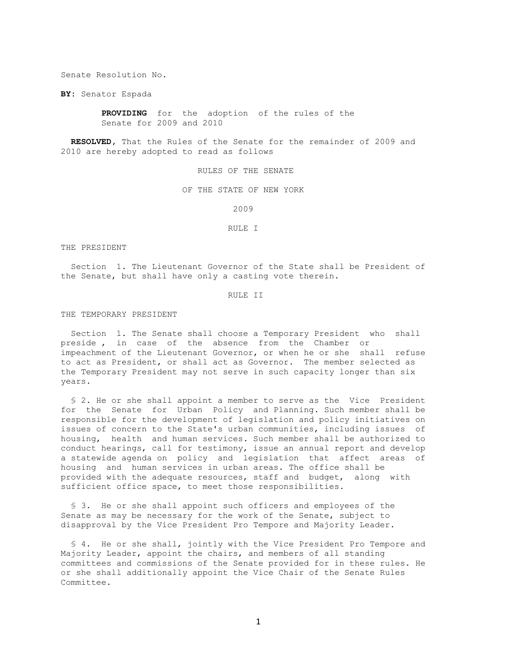Senate Resolution No.

**BY:** Senator Espada

 **PROVIDING** for the adoption of the rules of the Senate for 2009 and 2010

 **RESOLVED,** That the Rules of the Senate for the remainder of 2009 and 2010 are hereby adopted to read as follows

RULES OF THE SENATE

OF THE STATE OF NEW YORK

2009

RULE I

THE PRESIDENT

 Section 1. The Lieutenant Governor of the State shall be President of the Senate, but shall have only a casting vote therein.

RULE II

THE TEMPORARY PRESIDENT

 Section 1. The Senate shall choose a Temporary President who shall preside , in case of the absence from the Chamber or impeachment of the Lieutenant Governor, or when he or she shall refuse to act as President, or shall act as Governor. The member selected as the Temporary President may not serve in such capacity longer than six years.

 § 2. He or she shall appoint a member to serve as the Vice President for the Senate for Urban Policy and Planning. Such member shall be responsible for the development of legislation and policy initiatives on issues of concern to the State's urban communities, including issues of housing, health and human services. Such member shall be authorized to conduct hearings, call for testimony, issue an annual report and develop a statewide agenda on policy and legislation that affect areas of housing and human services in urban areas. The office shall be provided with the adequate resources, staff and budget, along with sufficient office space, to meet those responsibilities.

§ 3. He or she shall appoint such officers and employees of the Senate as may be necessary for the work of the Senate, subject to disapproval by the Vice President Pro Tempore and Majority Leader.

 § 4. He or she shall, jointly with the Vice President Pro Tempore and Majority Leader, appoint the chairs, and members of all standing committees and commissions of the Senate provided for in these rules. He or she shall additionally appoint the Vice Chair of the Senate Rules Committee.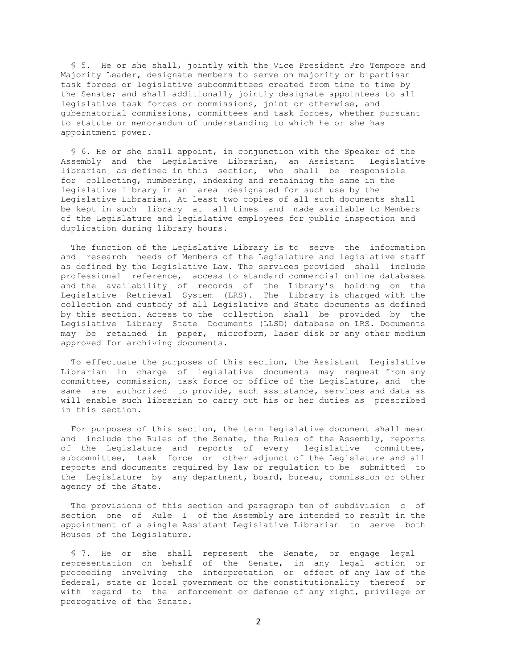§ 5. He or she shall, jointly with the Vice President Pro Tempore and Majority Leader, designate members to serve on majority or bipartisan task forces or legislative subcommittees created from time to time by the Senate; and shall additionally jointly designate appointees to all legislative task forces or commissions, joint or otherwise, and gubernatorial commissions, committees and task forces, whether pursuant to statute or memorandum of understanding to which he or she has appointment power.

 § 6. He or she shall appoint, in conjunction with the Speaker of the Assembly and the Legislative Librarian, an Assistant Legislative librarian, as defined in this section, who shall be responsible for collecting, numbering, indexing and retaining the same in the legislative library in an area designated for such use by the Legislative Librarian. At least two copies of all such documents shall be kept in such library at all times and made available to Members of the Legislature and legislative employees for public inspection and duplication during library hours.

 The function of the Legislative Library is to serve the information and research needs of Members of the Legislature and legislative staff as defined by the Legislative Law. The services provided shall include professional reference, access to standard commercial online databases and the availability of records of the Library's holding on the Legislative Retrieval System (LRS). The Library is charged with the collection and custody of all Legislative and State documents as defined by this section. Access to the collection shall be provided by the Legislative Library State Documents (LLSD) database on LRS. Documents may be retained in paper, microform, laser disk or any other medium approved for archiving documents.

 To effectuate the purposes of this section, the Assistant Legislative Librarian in charge of legislative documents may request from any committee, commission, task force or office of the Legislature, and the same are authorized to provide, such assistance, services and data as will enable such librarian to carry out his or her duties as prescribed in this section.

 For purposes of this section, the term legislative document shall mean and include the Rules of the Senate, the Rules of the Assembly, reports of the Legislature and reports of every legislative committee, subcommittee, task force or other adjunct of the Legislature and all reports and documents required by law or regulation to be submitted to the Legislature by any department, board, bureau, commission or other agency of the State.

 The provisions of this section and paragraph ten of subdivision c of section one of Rule I of the Assembly are intended to result in the appointment of a single Assistant Legislative Librarian to serve both Houses of the Legislature.

 § 7. He or she shall represent the Senate, or engage legal representation on behalf of the Senate, in any legal action or proceeding involving the interpretation or effect of any law of the federal, state or local government or the constitutionality thereof or with regard to the enforcement or defense of any right, privilege or prerogative of the Senate.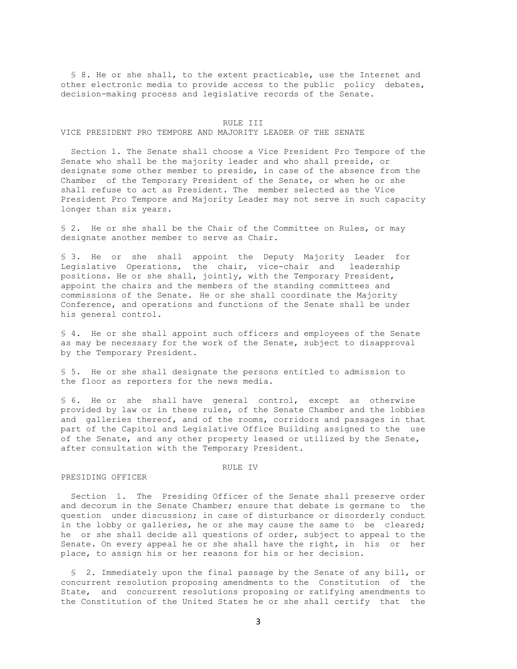§ 8. He or she shall, to the extent practicable, use the Internet and other electronic media to provide access to the public policy debates, decision-making process and legislative records of the Senate.

#### RULE III

## VICE PRESIDENT PRO TEMPORE AND MAJORITY LEADER OF THE SENATE

 Section 1. The Senate shall choose a Vice President Pro Tempore of the Senate who shall be the majority leader and who shall preside, or designate some other member to preside, in case of the absence from the Chamber of the Temporary President of the Senate, or when he or she shall refuse to act as President. The member selected as the Vice President Pro Tempore and Majority Leader may not serve in such capacity longer than six years.

§ 2. He or she shall be the Chair of the Committee on Rules, or may designate another member to serve as Chair.

§ 3. He or she shall appoint the Deputy Majority Leader for Legislative Operations, the chair, vice-chair and leadership positions. He or she shall, jointly, with the Temporary President, appoint the chairs and the members of the standing committees and commissions of the Senate. He or she shall coordinate the Majority Conference, and operations and functions of the Senate shall be under his general control.

§ 4. He or she shall appoint such officers and employees of the Senate as may be necessary for the work of the Senate, subject to disapproval by the Temporary President.

§ 5. He or she shall designate the persons entitled to admission to the floor as reporters for the news media.

§ 6. He or she shall have general control, except as otherwise provided by law or in these rules, of the Senate Chamber and the lobbies and galleries thereof, and of the rooms, corridors and passages in that part of the Capitol and Legislative Office Building assigned to the use of the Senate, and any other property leased or utilized by the Senate, after consultation with the Temporary President.

#### RULE IV

#### PRESIDING OFFICER

 Section 1. The Presiding Officer of the Senate shall preserve order and decorum in the Senate Chamber; ensure that debate is germane to the question under discussion; in case of disturbance or disorderly conduct in the lobby or galleries, he or she may cause the same to be cleared; he or she shall decide all questions of order, subject to appeal to the Senate. On every appeal he or she shall have the right, in his or her place, to assign his or her reasons for his or her decision.

 § 2. Immediately upon the final passage by the Senate of any bill, or concurrent resolution proposing amendments to the Constitution of the State, and concurrent resolutions proposing or ratifying amendments to the Constitution of the United States he or she shall certify that the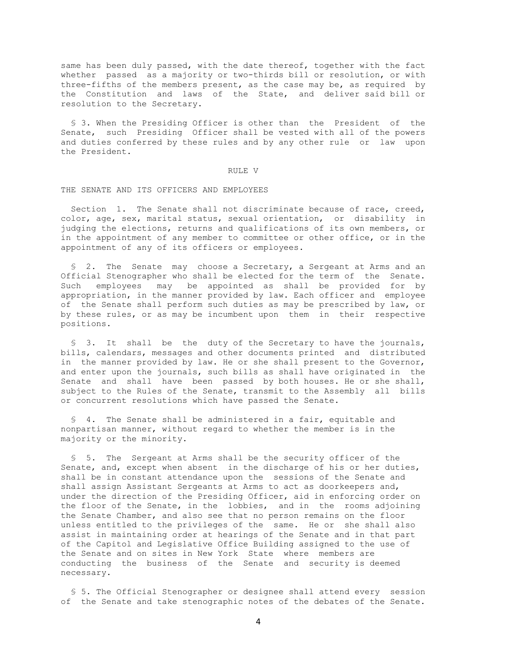same has been duly passed, with the date thereof, together with the fact whether passed as a majority or two-thirds bill or resolution, or with three-fifths of the members present, as the case may be, as required by the Constitution and laws of the State, and deliver said bill or resolution to the Secretary.

 § 3. When the Presiding Officer is other than the President of the Senate, such Presiding Officer shall be vested with all of the powers and duties conferred by these rules and by any other rule or law upon the President.

#### RULE V

# THE SENATE AND ITS OFFICERS AND EMPLOYEES

Section 1. The Senate shall not discriminate because of race, creed, color, age, sex, marital status, sexual orientation, or disability in judging the elections, returns and qualifications of its own members, or in the appointment of any member to committee or other office, or in the appointment of any of its officers or employees.

 § 2. The Senate may choose a Secretary, a Sergeant at Arms and an Official Stenographer who shall be elected for the term of the Senate. Such employees may be appointed as shall be provided for by appropriation, in the manner provided by law. Each officer and employee of the Senate shall perform such duties as may be prescribed by law, or by these rules, or as may be incumbent upon them in their respective positions.

 § 3. It shall be the duty of the Secretary to have the journals, bills, calendars, messages and other documents printed and distributed in the manner provided by law. He or she shall present to the Governor, and enter upon the journals, such bills as shall have originated in the Senate and shall have been passed by both houses. He or she shall, subject to the Rules of the Senate, transmit to the Assembly all bills or concurrent resolutions which have passed the Senate.

 § 4. The Senate shall be administered in a fair, equitable and nonpartisan manner, without regard to whether the member is in the majority or the minority.

 § 5. The Sergeant at Arms shall be the security officer of the Senate, and, except when absent in the discharge of his or her duties, shall be in constant attendance upon the sessions of the Senate and shall assign Assistant Sergeants at Arms to act as doorkeepers and, under the direction of the Presiding Officer, aid in enforcing order on the floor of the Senate, in the lobbies, and in the rooms adjoining the Senate Chamber, and also see that no person remains on the floor unless entitled to the privileges of the same. He or she shall also assist in maintaining order at hearings of the Senate and in that part of the Capitol and Legislative Office Building assigned to the use of the Senate and on sites in New York State where members are conducting the business of the Senate and security is deemed necessary.

 § 5. The Official Stenographer or designee shall attend every session of the Senate and take stenographic notes of the debates of the Senate.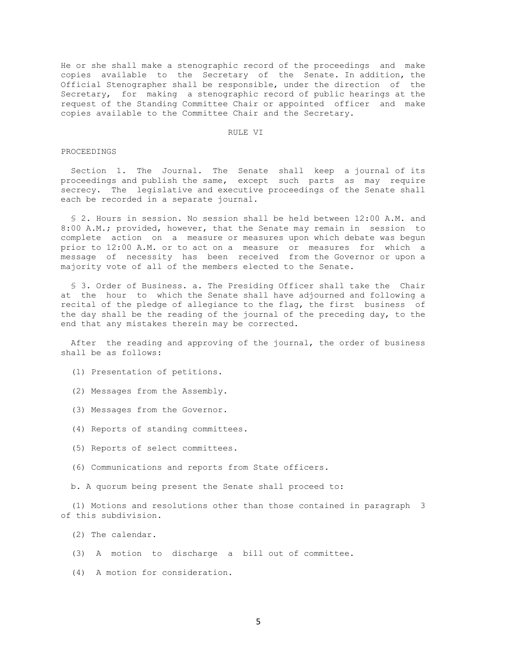He or she shall make a stenographic record of the proceedings and make copies available to the Secretary of the Senate. In addition, the Official Stenographer shall be responsible, under the direction of the Secretary, for making a stenographic record of public hearings at the request of the Standing Committee Chair or appointed officer and make copies available to the Committee Chair and the Secretary.

#### RULE VI

#### PROCEEDINGS

 Section 1. The Journal. The Senate shall keep a journal of its proceedings and publish the same, except such parts as may require secrecy. The legislative and executive proceedings of the Senate shall each be recorded in a separate journal.

 § 2. Hours in session. No session shall be held between 12:00 A.M. and 8:00 A.M.; provided, however, that the Senate may remain in session to complete action on a measure or measures upon which debate was begun prior to 12:00 A.M. or to act on a measure or measures for which a message of necessity has been received from the Governor or upon a majority vote of all of the members elected to the Senate.

 § 3. Order of Business. a. The Presiding Officer shall take the Chair at the hour to which the Senate shall have adjourned and following a recital of the pledge of allegiance to the flag, the first business of the day shall be the reading of the journal of the preceding day, to the end that any mistakes therein may be corrected.

 After the reading and approving of the journal, the order of business shall be as follows:

- (1) Presentation of petitions.
- (2) Messages from the Assembly.
- (3) Messages from the Governor.
- (4) Reports of standing committees.
- (5) Reports of select committees.
- (6) Communications and reports from State officers.

b. A quorum being present the Senate shall proceed to:

 (1) Motions and resolutions other than those contained in paragraph 3 of this subdivision.

- (2) The calendar.
- (3) A motion to discharge a bill out of committee.
- (4) A motion for consideration.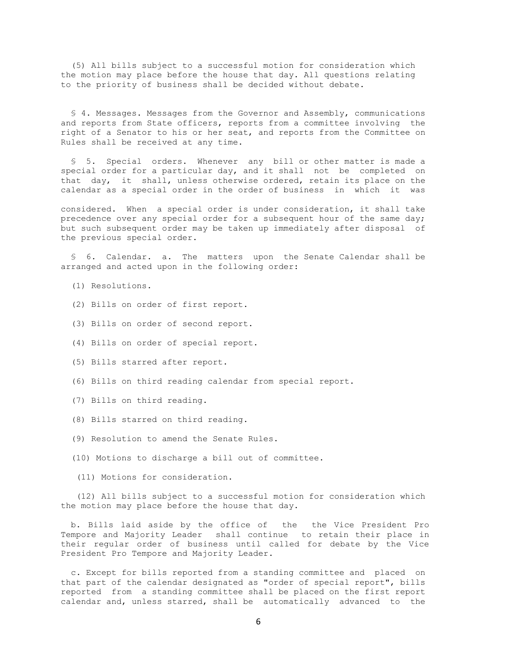(5) All bills subject to a successful motion for consideration which the motion may place before the house that day. All questions relating to the priority of business shall be decided without debate.

 § 4. Messages. Messages from the Governor and Assembly, communications and reports from State officers, reports from a committee involving the right of a Senator to his or her seat, and reports from the Committee on Rules shall be received at any time.

 § 5. Special orders. Whenever any bill or other matter is made a special order for a particular day, and it shall not be completed on that day, it shall, unless otherwise ordered, retain its place on the calendar as a special order in the order of business in which it was

considered. When a special order is under consideration, it shall take precedence over any special order for a subsequent hour of the same day; but such subsequent order may be taken up immediately after disposal of the previous special order.

 § 6. Calendar. a. The matters upon the Senate Calendar shall be arranged and acted upon in the following order:

- (1) Resolutions.
- (2) Bills on order of first report.
- (3) Bills on order of second report.
- (4) Bills on order of special report.
- (5) Bills starred after report.
- (6) Bills on third reading calendar from special report.
- (7) Bills on third reading.
- (8) Bills starred on third reading.
- (9) Resolution to amend the Senate Rules.
- (10) Motions to discharge a bill out of committee.
- (11) Motions for consideration.

 (12) All bills subject to a successful motion for consideration which the motion may place before the house that day.

 b. Bills laid aside by the office of the the Vice President Pro Tempore and Majority Leader shall continue to retain their place in their regular order of business until called for debate by the Vice President Pro Tempore and Majority Leader.

 c. Except for bills reported from a standing committee and placed on that part of the calendar designated as "order of special report", bills reported from a standing committee shall be placed on the first report calendar and, unless starred, shall be automatically advanced to the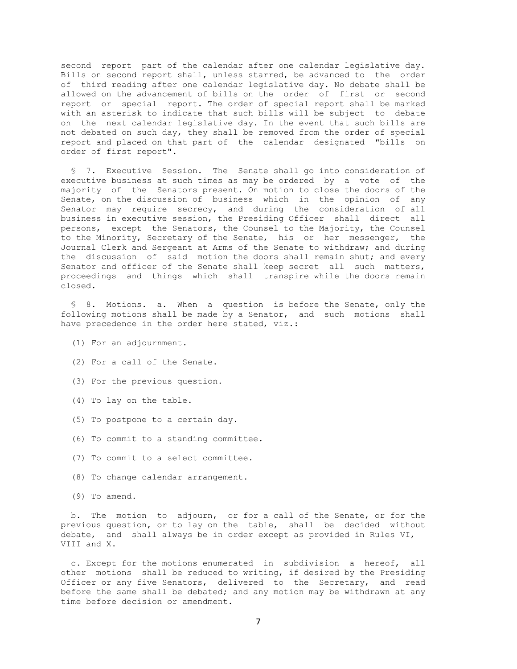second report part of the calendar after one calendar legislative day. Bills on second report shall, unless starred, be advanced to the order of third reading after one calendar legislative day. No debate shall be allowed on the advancement of bills on the order of first or second report or special report. The order of special report shall be marked with an asterisk to indicate that such bills will be subject to debate on the next calendar legislative day. In the event that such bills are not debated on such day, they shall be removed from the order of special report and placed on that part of the calendar designated "bills on order of first report".

 § 7. Executive Session. The Senate shall go into consideration of executive business at such times as may be ordered by a vote of the majority of the Senators present. On motion to close the doors of the Senate, on the discussion of business which in the opinion of any Senator may require secrecy, and during the consideration of all business in executive session, the Presiding Officer shall direct all persons, except the Senators, the Counsel to the Majority, the Counsel to the Minority, Secretary of the Senate, his or her messenger, the Journal Clerk and Sergeant at Arms of the Senate to withdraw; and during the discussion of said motion the doors shall remain shut; and every Senator and officer of the Senate shall keep secret all such matters, proceedings and things which shall transpire while the doors remain closed.

 § 8. Motions. a. When a question is before the Senate, only the following motions shall be made by a Senator, and such motions shall have precedence in the order here stated, viz.:

- (1) For an adjournment.
- (2) For a call of the Senate.
- (3) For the previous question.
- (4) To lay on the table.
- (5) To postpone to a certain day.
- (6) To commit to a standing committee.
- (7) To commit to a select committee.
- (8) To change calendar arrangement.
- (9) To amend.

 b. The motion to adjourn, or for a call of the Senate, or for the previous question, or to lay on the table, shall be decided without debate, and shall always be in order except as provided in Rules VI, VIII and X.

 c. Except for the motions enumerated in subdivision a hereof, all other motions shall be reduced to writing, if desired by the Presiding Officer or any five Senators, delivered to the Secretary, and read before the same shall be debated; and any motion may be withdrawn at any time before decision or amendment.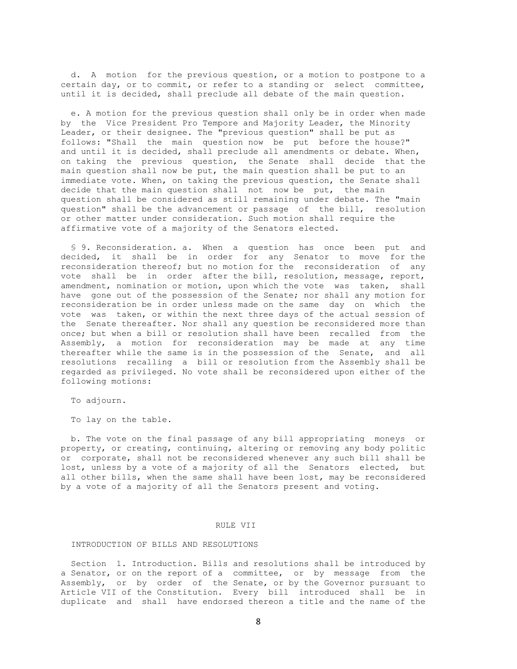d. A motion for the previous question, or a motion to postpone to a certain day, or to commit, or refer to a standing or select committee, until it is decided, shall preclude all debate of the main question.

 e. A motion for the previous question shall only be in order when made by the Vice President Pro Tempore and Majority Leader, the Minority Leader, or their designee. The "previous question" shall be put as follows: "Shall the main question now be put before the house?" and until it is decided, shall preclude all amendments or debate. When, on taking the previous question, the Senate shall decide that the main question shall now be put, the main question shall be put to an immediate vote. When, on taking the previous question, the Senate shall decide that the main question shall not now be put, the main question shall be considered as still remaining under debate. The "main question" shall be the advancement or passage of the bill, resolution or other matter under consideration. Such motion shall require the affirmative vote of a majority of the Senators elected.

 § 9. Reconsideration. a. When a question has once been put and decided, it shall be in order for any Senator to move for the reconsideration thereof; but no motion for the reconsideration of any vote shall be in order after the bill, resolution, message, report, amendment, nomination or motion, upon which the vote was taken, shall have gone out of the possession of the Senate; nor shall any motion for reconsideration be in order unless made on the same day on which the vote was taken, or within the next three days of the actual session of the Senate thereafter. Nor shall any question be reconsidered more than once; but when a bill or resolution shall have been recalled from the Assembly, a motion for reconsideration may be made at any time thereafter while the same is in the possession of the Senate, and all resolutions recalling a bill or resolution from the Assembly shall be regarded as privileged. No vote shall be reconsidered upon either of the following motions:

To adjourn.

To lay on the table.

 b. The vote on the final passage of any bill appropriating moneys or property, or creating, continuing, altering or removing any body politic or corporate, shall not be reconsidered whenever any such bill shall be lost, unless by a vote of a majority of all the Senators elected, but all other bills, when the same shall have been lost, may be reconsidered by a vote of a majority of all the Senators present and voting.

# RULE VII

## INTRODUCTION OF BILLS AND RESOLUTIONS

 Section 1. Introduction. Bills and resolutions shall be introduced by a Senator, or on the report of a committee, or by message from the Assembly, or by order of the Senate, or by the Governor pursuant to Article VII of the Constitution. Every bill introduced shall be in duplicate and shall have endorsed thereon a title and the name of the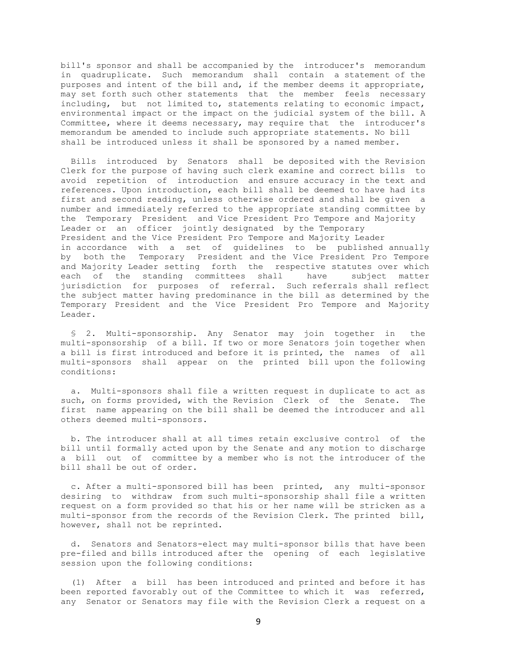bill's sponsor and shall be accompanied by the introducer's memorandum in quadruplicate. Such memorandum shall contain a statement of the purposes and intent of the bill and, if the member deems it appropriate, may set forth such other statements that the member feels necessary including, but not limited to, statements relating to economic impact, environmental impact or the impact on the judicial system of the bill. A Committee, where it deems necessary, may require that the introducer's memorandum be amended to include such appropriate statements. No bill shall be introduced unless it shall be sponsored by a named member.

 Bills introduced by Senators shall be deposited with the Revision Clerk for the purpose of having such clerk examine and correct bills to avoid repetition of introduction and ensure accuracy in the text and references. Upon introduction, each bill shall be deemed to have had its first and second reading, unless otherwise ordered and shall be given a number and immediately referred to the appropriate standing committee by the Temporary President and Vice President Pro Tempore and Majority Leader or an officer jointly designated by the Temporary President and the Vice President Pro Tempore and Majority Leader in accordance with a set of guidelines to be published annually by both the Temporary President and the Vice President Pro Tempore and Majority Leader setting forth the respective statutes over which each of the standing committees shall have subject matter jurisdiction for purposes of referral. Such referrals shall reflect the subject matter having predominance in the bill as determined by the Temporary President and the Vice President Pro Tempore and Majority Leader.

 § 2. Multi-sponsorship. Any Senator may join together in the multi-sponsorship of a bill. If two or more Senators join together when a bill is first introduced and before it is printed, the names of all multi-sponsors shall appear on the printed bill upon the following conditions:

 a. Multi-sponsors shall file a written request in duplicate to act as such, on forms provided, with the Revision Clerk of the Senate. The first name appearing on the bill shall be deemed the introducer and all others deemed multi-sponsors.

 b. The introducer shall at all times retain exclusive control of the bill until formally acted upon by the Senate and any motion to discharge a bill out of committee by a member who is not the introducer of the bill shall be out of order.

 c. After a multi-sponsored bill has been printed, any multi-sponsor desiring to withdraw from such multi-sponsorship shall file a written request on a form provided so that his or her name will be stricken as a multi-sponsor from the records of the Revision Clerk. The printed bill, however, shall not be reprinted.

 d. Senators and Senators-elect may multi-sponsor bills that have been pre-filed and bills introduced after the opening of each legislative session upon the following conditions:

 (1) After a bill has been introduced and printed and before it has been reported favorably out of the Committee to which it was referred, any Senator or Senators may file with the Revision Clerk a request on a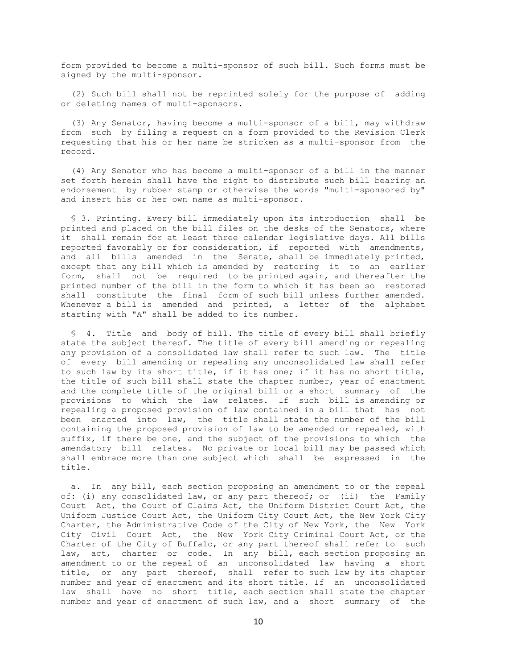form provided to become a multi-sponsor of such bill. Such forms must be signed by the multi-sponsor.

 (2) Such bill shall not be reprinted solely for the purpose of adding or deleting names of multi-sponsors.

 (3) Any Senator, having become a multi-sponsor of a bill, may withdraw from such by filing a request on a form provided to the Revision Clerk requesting that his or her name be stricken as a multi-sponsor from the record.

 (4) Any Senator who has become a multi-sponsor of a bill in the manner set forth herein shall have the right to distribute such bill bearing an endorsement by rubber stamp or otherwise the words "multi-sponsored by" and insert his or her own name as multi-sponsor.

 § 3. Printing. Every bill immediately upon its introduction shall be printed and placed on the bill files on the desks of the Senators, where it shall remain for at least three calendar legislative days. All bills reported favorably or for consideration, if reported with amendments, and all bills amended in the Senate, shall be immediately printed, except that any bill which is amended by restoring it to an earlier form, shall not be required to be printed again, and thereafter the printed number of the bill in the form to which it has been so restored shall constitute the final form of such bill unless further amended. Whenever a bill is amended and printed, a letter of the alphabet starting with "A" shall be added to its number.

 § 4. Title and body of bill. The title of every bill shall briefly state the subject thereof. The title of every bill amending or repealing any provision of a consolidated law shall refer to such law. The title of every bill amending or repealing any unconsolidated law shall refer to such law by its short title, if it has one; if it has no short title, the title of such bill shall state the chapter number, year of enactment and the complete title of the original bill or a short summary of the provisions to which the law relates. If such bill is amending or repealing a proposed provision of law contained in a bill that has not been enacted into law, the title shall state the number of the bill containing the proposed provision of law to be amended or repealed, with suffix, if there be one, and the subject of the provisions to which the amendatory bill relates. No private or local bill may be passed which shall embrace more than one subject which shall be expressed in the title.

 a. In any bill, each section proposing an amendment to or the repeal of: (i) any consolidated law, or any part thereof; or (ii) the Family Court Act, the Court of Claims Act, the Uniform District Court Act, the Uniform Justice Court Act, the Uniform City Court Act, the New York City Charter, the Administrative Code of the City of New York, the New York City Civil Court Act, the New York City Criminal Court Act, or the Charter of the City of Buffalo, or any part thereof shall refer to such law, act, charter or code. In any bill, each section proposing an amendment to or the repeal of an unconsolidated law having a short title, or any part thereof, shall refer to such law by its chapter number and year of enactment and its short title. If an unconsolidated law shall have no short title, each section shall state the chapter number and year of enactment of such law, and a short summary of the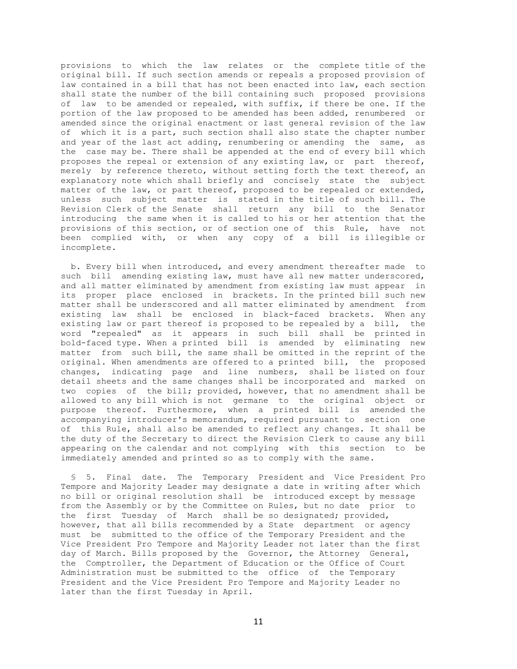provisions to which the law relates or the complete title of the original bill. If such section amends or repeals a proposed provision of law contained in a bill that has not been enacted into law, each section shall state the number of the bill containing such proposed provisions of law to be amended or repealed, with suffix, if there be one. If the portion of the law proposed to be amended has been added, renumbered or amended since the original enactment or last general revision of the law of which it is a part, such section shall also state the chapter number and year of the last act adding, renumbering or amending the same, as the case may be. There shall be appended at the end of every bill which proposes the repeal or extension of any existing law, or part thereof, merely by reference thereto, without setting forth the text thereof, an explanatory note which shall briefly and concisely state the subject matter of the law, or part thereof, proposed to be repealed or extended, unless such subject matter is stated in the title of such bill. The Revision Clerk of the Senate shall return any bill to the Senator introducing the same when it is called to his or her attention that the provisions of this section, or of section one of this Rule, have not been complied with, or when any copy of a bill is illegible or incomplete.

 b. Every bill when introduced, and every amendment thereafter made to such bill amending existing law, must have all new matter underscored, and all matter eliminated by amendment from existing law must appear in its proper place enclosed in brackets. In the printed bill such new matter shall be underscored and all matter eliminated by amendment from existing law shall be enclosed in black-faced brackets. When any existing law or part thereof is proposed to be repealed by a bill, the word "repealed" as it appears in such bill shall be printed in bold-faced type. When a printed bill is amended by eliminating new matter from such bill, the same shall be omitted in the reprint of the original. When amendments are offered to a printed bill, the proposed changes, indicating page and line numbers, shall be listed on four detail sheets and the same changes shall be incorporated and marked on two copies of the bill; provided, however, that no amendment shall be allowed to any bill which is not germane to the original object or purpose thereof. Furthermore, when a printed bill is amended the accompanying introducer's memorandum, required pursuant to section one of this Rule, shall also be amended to reflect any changes. It shall be the duty of the Secretary to direct the Revision Clerk to cause any bill appearing on the calendar and not complying with this section to be immediately amended and printed so as to comply with the same.

 § 5. Final date. The Temporary President and Vice President Pro Tempore and Majority Leader may designate a date in writing after which no bill or original resolution shall be introduced except by message from the Assembly or by the Committee on Rules, but no date prior to the first Tuesday of March shall be so designated; provided, however, that all bills recommended by a State department or agency must be submitted to the office of the Temporary President and the Vice President Pro Tempore and Majority Leader not later than the first day of March. Bills proposed by the Governor, the Attorney General, the Comptroller, the Department of Education or the Office of Court Administration must be submitted to the office of the Temporary President and the Vice President Pro Tempore and Majority Leader no later than the first Tuesday in April.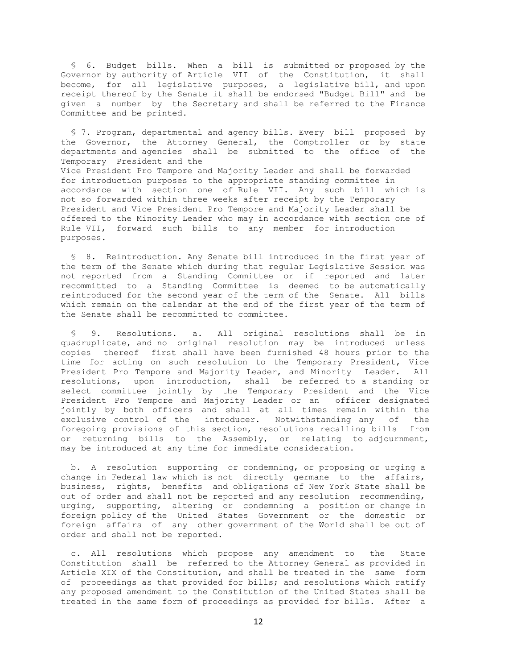§ 6. Budget bills. When a bill is submitted or proposed by the Governor by authority of Article VII of the Constitution, it shall become, for all legislative purposes, a legislative bill, and upon receipt thereof by the Senate it shall be endorsed "Budget Bill" and be given a number by the Secretary and shall be referred to the Finance Committee and be printed.

 § 7. Program, departmental and agency bills. Every bill proposed by the Governor, the Attorney General, the Comptroller or by state departments and agencies shall be submitted to the office of the Temporary President and the Vice President Pro Tempore and Majority Leader and shall be forwarded for introduction purposes to the appropriate standing committee in accordance with section one of Rule VII. Any such bill which is not so forwarded within three weeks after receipt by the Temporary President and Vice President Pro Tempore and Majority Leader shall be offered to the Minority Leader who may in accordance with section one of Rule VII, forward such bills to any member for introduction purposes.

 § 8. Reintroduction. Any Senate bill introduced in the first year of the term of the Senate which during that regular Legislative Session was not reported from a Standing Committee or if reported and later recommitted to a Standing Committee is deemed to be automatically reintroduced for the second year of the term of the Senate. All bills which remain on the calendar at the end of the first year of the term of the Senate shall be recommitted to committee.

 § 9. Resolutions. a. All original resolutions shall be in quadruplicate, and no original resolution may be introduced unless copies thereof first shall have been furnished 48 hours prior to the time for acting on such resolution to the Temporary President, Vice President Pro Tempore and Majority Leader, and Minority Leader. All resolutions, upon introduction, shall be referred to a standing or select committee jointly by the Temporary President and the Vice President Pro Tempore and Majority Leader or an officer designated jointly by both officers and shall at all times remain within the exclusive control of the introducer. Notwithstanding any of the foregoing provisions of this section, resolutions recalling bills from or returning bills to the Assembly, or relating to adjournment, may be introduced at any time for immediate consideration.

 b. A resolution supporting or condemning, or proposing or urging a change in Federal law which is not directly germane to the affairs, business, rights, benefits and obligations of New York State shall be out of order and shall not be reported and any resolution recommending, urging, supporting, altering or condemning a position or change in foreign policy of the United States Government or the domestic or foreign affairs of any other government of the World shall be out of order and shall not be reported.

 c. All resolutions which propose any amendment to the State Constitution shall be referred to the Attorney General as provided in Article XIX of the Constitution, and shall be treated in the same form of proceedings as that provided for bills; and resolutions which ratify any proposed amendment to the Constitution of the United States shall be treated in the same form of proceedings as provided for bills. After a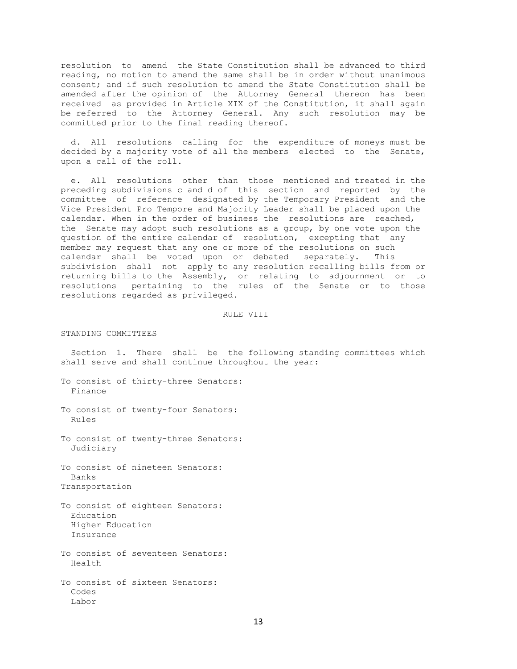resolution to amend the State Constitution shall be advanced to third reading, no motion to amend the same shall be in order without unanimous consent; and if such resolution to amend the State Constitution shall be amended after the opinion of the Attorney General thereon has been received as provided in Article XIX of the Constitution, it shall again be referred to the Attorney General. Any such resolution may be committed prior to the final reading thereof.

 d. All resolutions calling for the expenditure of moneys must be decided by a majority vote of all the members elected to the Senate, upon a call of the roll.

 e. All resolutions other than those mentioned and treated in the preceding subdivisions c and d of this section and reported by the committee of reference designated by the Temporary President and the Vice President Pro Tempore and Majority Leader shall be placed upon the calendar. When in the order of business the resolutions are reached, the Senate may adopt such resolutions as a group, by one vote upon the question of the entire calendar of resolution, excepting that any member may request that any one or more of the resolutions on such calendar shall be voted upon or debated separately. This subdivision shall not apply to any resolution recalling bills from or returning bills to the Assembly, or relating to adjournment or to resolutions pertaining to the rules of the Senate or to those resolutions regarded as privileged.

#### RULE VIII

STANDING COMMITTEES

 Section 1. There shall be the following standing committees which shall serve and shall continue throughout the year:

To consist of thirty-three Senators: Finance

To consist of twenty-four Senators: Rules

To consist of twenty-three Senators: Judiciary

To consist of nineteen Senators: Banks Transportation

To consist of eighteen Senators: Education Higher Education Insurance

To consist of seventeen Senators: Health

To consist of sixteen Senators: Codes Labor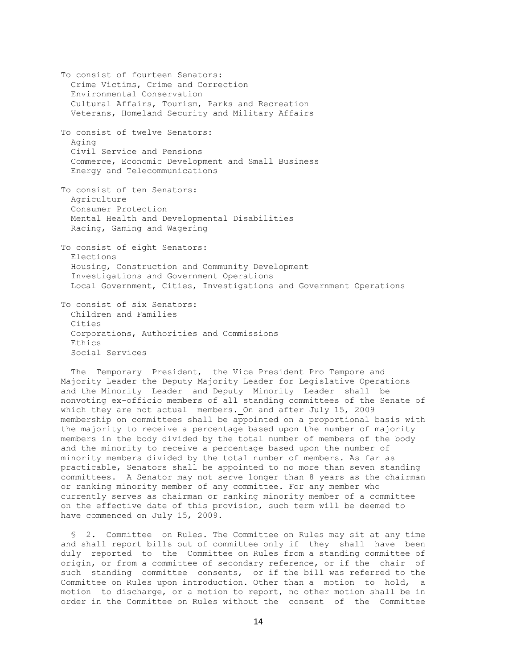To consist of fourteen Senators: Crime Victims, Crime and Correction Environmental Conservation Cultural Affairs, Tourism, Parks and Recreation Veterans, Homeland Security and Military Affairs To consist of twelve Senators: Aging Civil Service and Pensions Commerce, Economic Development and Small Business Energy and Telecommunications To consist of ten Senators: Agriculture Consumer Protection Mental Health and Developmental Disabilities Racing, Gaming and Wagering To consist of eight Senators: Elections Housing, Construction and Community Development Investigations and Government Operations Local Government, Cities, Investigations and Government Operations To consist of six Senators: Children and Families Cities

 Corporations, Authorities and Commissions Ethics Social Services

 The Temporary President, the Vice President Pro Tempore and Majority Leader the Deputy Majority Leader for Legislative Operations and the Minority Leader and Deputy Minority Leader shall be nonvoting ex-officio members of all standing committees of the Senate of which they are not actual members. On and after July 15, 2009 membership on committees shall be appointed on a proportional basis with the majority to receive a percentage based upon the number of majority members in the body divided by the total number of members of the body and the minority to receive a percentage based upon the number of minority members divided by the total number of members. As far as practicable, Senators shall be appointed to no more than seven standing committees. A Senator may not serve longer than 8 years as the chairman or ranking minority member of any committee. For any member who currently serves as chairman or ranking minority member of a committee on the effective date of this provision, such term will be deemed to have commenced on July 15, 2009.

 § 2. Committee on Rules. The Committee on Rules may sit at any time and shall report bills out of committee only if they shall have been duly reported to the Committee on Rules from a standing committee of origin, or from a committee of secondary reference, or if the chair of such standing committee consents, or if the bill was referred to the Committee on Rules upon introduction. Other than a motion to hold, a motion to discharge, or a motion to report, no other motion shall be in order in the Committee on Rules without the consent of the Committee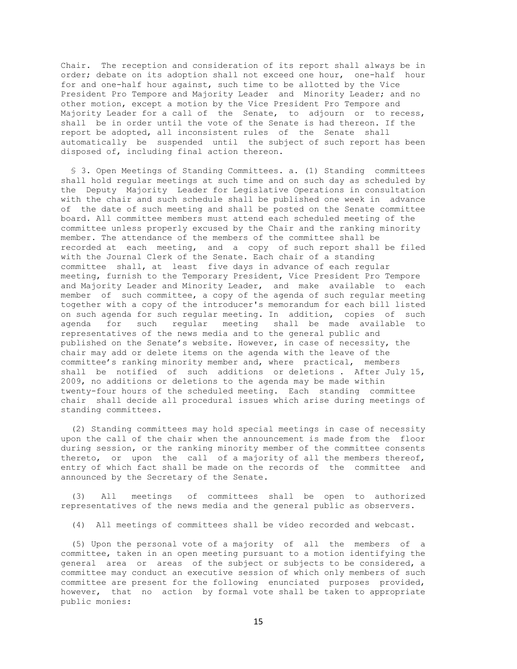Chair. The reception and consideration of its report shall always be in order; debate on its adoption shall not exceed one hour, one-half hour for and one-half hour against, such time to be allotted by the Vice President Pro Tempore and Majority Leader and Minority Leader; and no other motion, except a motion by the Vice President Pro Tempore and Majority Leader for a call of the Senate, to adjourn or to recess, shall be in order until the vote of the Senate is had thereon. If the report be adopted, all inconsistent rules of the Senate shall automatically be suspended until the subject of such report has been disposed of, including final action thereon.

 § 3. Open Meetings of Standing Committees. a. (1) Standing committees shall hold regular meetings at such time and on such day as scheduled by the Deputy Majority Leader for Legislative Operations in consultation with the chair and such schedule shall be published one week in advance of the date of such meeting and shall be posted on the Senate committee board. All committee members must attend each scheduled meeting of the committee unless properly excused by the Chair and the ranking minority member. The attendance of the members of the committee shall be recorded at each meeting, and a copy of such report shall be filed with the Journal Clerk of the Senate. Each chair of a standing committee shall, at least five days in advance of each regular meeting, furnish to the Temporary President, Vice President Pro Tempore and Majority Leader and Minority Leader, and make available to each member of such committee, a copy of the agenda of such regular meeting together with a copy of the introducer's memorandum for each bill listed on such agenda for such regular meeting. In addition, copies of such agenda for such regular meeting shall be made available to representatives of the news media and to the general public and published on the Senate's website. However, in case of necessity, the chair may add or delete items on the agenda with the leave of the committee's ranking minority member and, where practical, members shall be notified of such additions or deletions . After July 15, 2009, no additions or deletions to the agenda may be made within twenty-four hours of the scheduled meeting. Each standing committee chair shall decide all procedural issues which arise during meetings of standing committees.

 (2) Standing committees may hold special meetings in case of necessity upon the call of the chair when the announcement is made from the floor during session, or the ranking minority member of the committee consents thereto, or upon the call of a majority of all the members thereof, entry of which fact shall be made on the records of the committee and announced by the Secretary of the Senate.

 (3) All meetings of committees shall be open to authorized representatives of the news media and the general public as observers.

(4) All meetings of committees shall be video recorded and webcast.

 (5) Upon the personal vote of a majority of all the members of a committee, taken in an open meeting pursuant to a motion identifying the general area or areas of the subject or subjects to be considered, a committee may conduct an executive session of which only members of such committee are present for the following enunciated purposes provided, however, that no action by formal vote shall be taken to appropriate public monies: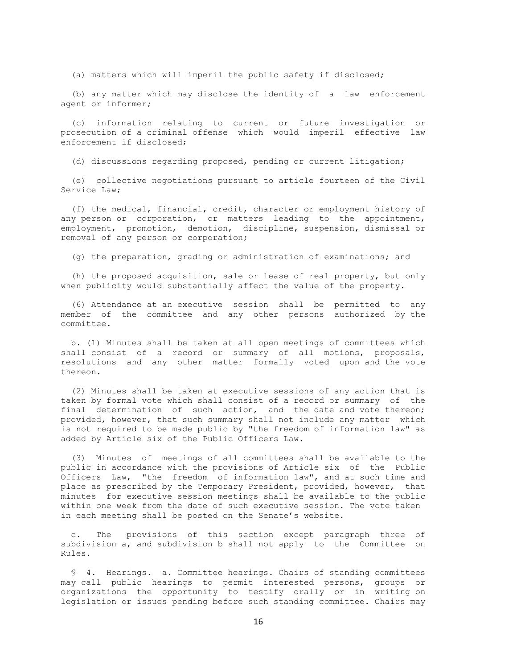(a) matters which will imperil the public safety if disclosed;

 (b) any matter which may disclose the identity of a law enforcement agent or informer;

 (c) information relating to current or future investigation or prosecution of a criminal offense which would imperil effective law enforcement if disclosed;

(d) discussions regarding proposed, pending or current litigation;

 (e) collective negotiations pursuant to article fourteen of the Civil Service Law;

 (f) the medical, financial, credit, character or employment history of any person or corporation, or matters leading to the appointment, employment, promotion, demotion, discipline, suspension, dismissal or removal of any person or corporation;

(g) the preparation, grading or administration of examinations; and

 (h) the proposed acquisition, sale or lease of real property, but only when publicity would substantially affect the value of the property.

 (6) Attendance at an executive session shall be permitted to any member of the committee and any other persons authorized by the committee.

 b. (1) Minutes shall be taken at all open meetings of committees which shall consist of a record or summary of all motions, proposals, resolutions and any other matter formally voted upon and the vote thereon.

 (2) Minutes shall be taken at executive sessions of any action that is taken by formal vote which shall consist of a record or summary of the final determination of such action, and the date and vote thereon; provided, however, that such summary shall not include any matter which is not required to be made public by "the freedom of information law" as added by Article six of the Public Officers Law.

 (3) Minutes of meetings of all committees shall be available to the public in accordance with the provisions of Article six of the Public Officers Law, "the freedom of information law", and at such time and place as prescribed by the Temporary President, provided, however, that minutes for executive session meetings shall be available to the public within one week from the date of such executive session. The vote taken in each meeting shall be posted on the Senate's website.

 c. The provisions of this section except paragraph three of subdivision a, and subdivision b shall not apply to the Committee on Rules.

 § 4. Hearings. a. Committee hearings. Chairs of standing committees may call public hearings to permit interested persons, groups or organizations the opportunity to testify orally or in writing on legislation or issues pending before such standing committee. Chairs may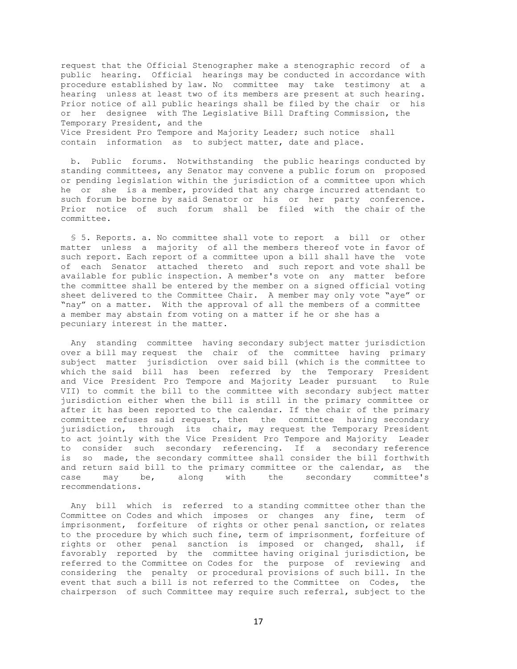request that the Official Stenographer make a stenographic record of a public hearing. Official hearings may be conducted in accordance with procedure established by law. No committee may take testimony at a hearing unless at least two of its members are present at such hearing. Prior notice of all public hearings shall be filed by the chair or his or her designee with The Legislative Bill Drafting Commission, the Temporary President, and the Vice President Pro Tempore and Majority Leader; such notice shall contain information as to subject matter, date and place.

 b. Public forums. Notwithstanding the public hearings conducted by standing committees, any Senator may convene a public forum on proposed or pending legislation within the jurisdiction of a committee upon which he or she is a member, provided that any charge incurred attendant to such forum be borne by said Senator or his or her party conference. Prior notice of such forum shall be filed with the chair of the committee.

 § 5. Reports. a. No committee shall vote to report a bill or other matter unless a majority of all the members thereof vote in favor of such report. Each report of a committee upon a bill shall have the vote of each Senator attached thereto and such report and vote shall be available for public inspection. A member's vote on any matter before the committee shall be entered by the member on a signed official voting sheet delivered to the Committee Chair. A member may only vote "aye" or "nay" on a matter. With the approval of all the members of a committee a member may abstain from voting on a matter if he or she has a pecuniary interest in the matter.

 Any standing committee having secondary subject matter jurisdiction over a bill may request the chair of the committee having primary subject matter jurisdiction over said bill (which is the committee to which the said bill has been referred by the Temporary President and Vice President Pro Tempore and Majority Leader pursuant to Rule VII) to commit the bill to the committee with secondary subject matter jurisdiction either when the bill is still in the primary committee or after it has been reported to the calendar. If the chair of the primary committee refuses said request, then the committee having secondary jurisdiction, through its chair, may request the Temporary President to act jointly with the Vice President Pro Tempore and Majority Leader to consider such secondary referencing. If a secondary reference is so made, the secondary committee shall consider the bill forthwith and return said bill to the primary committee or the calendar, as the case may be, along with the secondary committee's recommendations.

 Any bill which is referred to a standing committee other than the Committee on Codes and which imposes or changes any fine, term of imprisonment, forfeiture of rights or other penal sanction, or relates to the procedure by which such fine, term of imprisonment, forfeiture of rights or other penal sanction is imposed or changed, shall, if favorably reported by the committee having original jurisdiction, be referred to the Committee on Codes for the purpose of reviewing and considering the penalty or procedural provisions of such bill. In the event that such a bill is not referred to the Committee on Codes, the chairperson of such Committee may require such referral, subject to the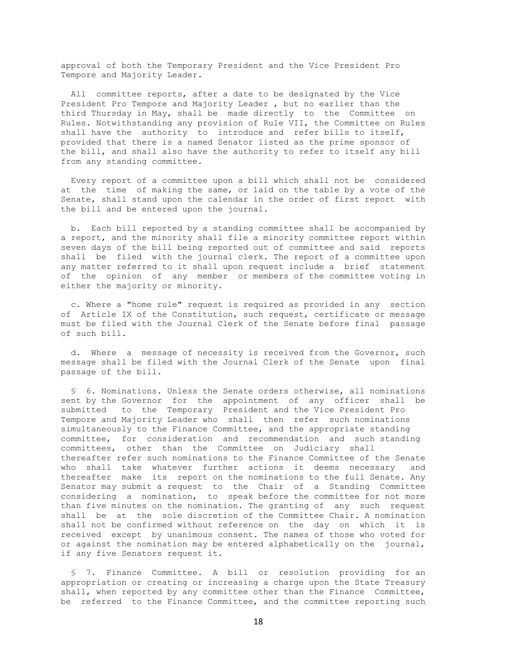approval of both the Temporary President and the Vice President Pro Tempore and Majority Leader.

 All committee reports, after a date to be designated by the Vice President Pro Tempore and Majority Leader , but no earlier than the third Thursday in May, shall be made directly to the Committee on Rules. Notwithstanding any provision of Rule VII, the Committee on Rules shall have the authority to introduce and refer bills to itself, provided that there is a named Senator listed as the prime sponsor of the bill, and shall also have the authority to refer to itself any bill from any standing committee.

 Every report of a committee upon a bill which shall not be considered at the time of making the same, or laid on the table by a vote of the Senate, shall stand upon the calendar in the order of first report with the bill and be entered upon the journal.

 b. Each bill reported by a standing committee shall be accompanied by a report, and the minority shall file a minority committee report within seven days of the bill being reported out of committee and said reports shall be filed with the journal clerk. The report of a committee upon any matter referred to it shall upon request include a brief statement of the opinion of any member or members of the committee voting in either the majority or minority.

 c. Where a "home rule" request is required as provided in any section of Article IX of the Constitution, such request, certificate or message must be filed with the Journal Clerk of the Senate before final passage of such bill.

 d. Where a message of necessity is received from the Governor, such message shall be filed with the Journal Clerk of the Senate upon final passage of the bill.

 § 6. Nominations. Unless the Senate orders otherwise, all nominations sent by the Governor for the appointment of any officer shall be submitted to the Temporary President and the Vice President Pro Tempore and Majority Leader who shall then refer such nominations simultaneously to the Finance Committee, and the appropriate standing committee, for consideration and recommendation and such standing committees, other than the Committee on Judiciary shall thereafter refer such nominations to the Finance Committee of the Senate who shall take whatever further actions it deems necessary and thereafter make its report on the nominations to the full Senate. Any Senator may submit a request to the Chair of a Standing Committee considering a nomination, to speak before the committee for not more than five minutes on the nomination. The granting of any such request shall be at the sole discretion of the Committee Chair. A nomination shall not be confirmed without reference on the day on which it is received except by unanimous consent. The names of those who voted for or against the nomination may be entered alphabetically on the journal, if any five Senators request it.

 § 7. Finance Committee. A bill or resolution providing for an appropriation or creating or increasing a charge upon the State Treasury shall, when reported by any committee other than the Finance Committee, be referred to the Finance Committee, and the committee reporting such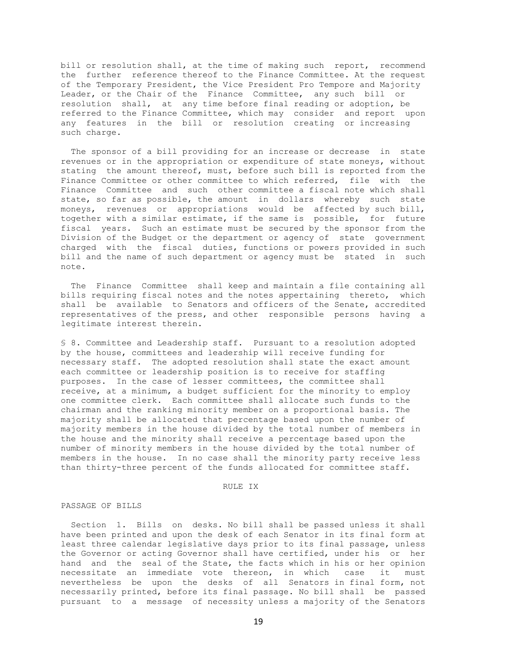bill or resolution shall, at the time of making such report, recommend the further reference thereof to the Finance Committee. At the request of the Temporary President, the Vice President Pro Tempore and Majority Leader, or the Chair of the Finance Committee, any such bill or resolution shall, at any time before final reading or adoption, be referred to the Finance Committee, which may consider and report upon any features in the bill or resolution creating or increasing such charge.

 The sponsor of a bill providing for an increase or decrease in state revenues or in the appropriation or expenditure of state moneys, without stating the amount thereof, must, before such bill is reported from the Finance Committee or other committee to which referred, file with the Finance Committee and such other committee a fiscal note which shall state, so far as possible, the amount in dollars whereby such state moneys, revenues or appropriations would be affected by such bill, together with a similar estimate, if the same is possible, for future fiscal years. Such an estimate must be secured by the sponsor from the Division of the Budget or the department or agency of state government charged with the fiscal duties, functions or powers provided in such bill and the name of such department or agency must be stated in such note.

 The Finance Committee shall keep and maintain a file containing all bills requiring fiscal notes and the notes appertaining thereto, which shall be available to Senators and officers of the Senate, accredited representatives of the press, and other responsible persons having a legitimate interest therein.

§ 8. Committee and Leadership staff. Pursuant to a resolution adopted by the house, committees and leadership will receive funding for necessary staff. The adopted resolution shall state the exact amount each committee or leadership position is to receive for staffing purposes. In the case of lesser committees, the committee shall receive, at a minimum, a budget sufficient for the minority to employ one committee clerk. Each committee shall allocate such funds to the chairman and the ranking minority member on a proportional basis. The majority shall be allocated that percentage based upon the number of majority members in the house divided by the total number of members in the house and the minority shall receive a percentage based upon the number of minority members in the house divided by the total number of members in the house. In no case shall the minority party receive less than thirty-three percent of the funds allocated for committee staff.

## RULE IX

## PASSAGE OF BILLS

 Section 1. Bills on desks. No bill shall be passed unless it shall have been printed and upon the desk of each Senator in its final form at least three calendar legislative days prior to its final passage, unless the Governor or acting Governor shall have certified, under his or her hand and the seal of the State, the facts which in his or her opinion necessitate an immediate vote thereon, in which case it must nevertheless be upon the desks of all Senators in final form, not necessarily printed, before its final passage. No bill shall be passed pursuant to a message of necessity unless a majority of the Senators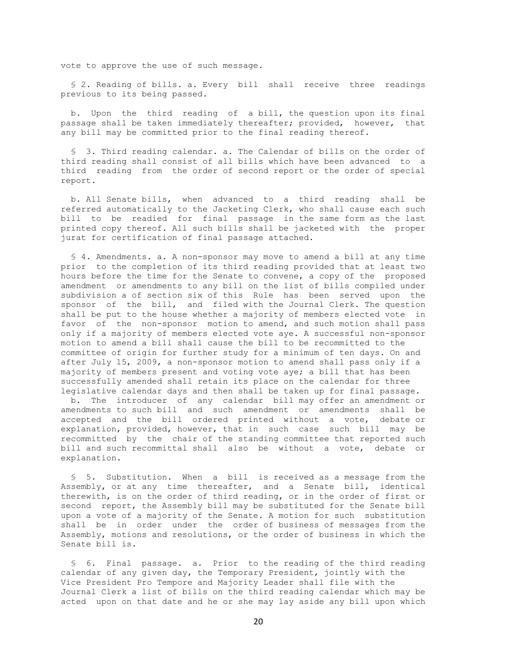vote to approve the use of such message.

 § 2. Reading of bills. a. Every bill shall receive three readings previous to its being passed.

 b. Upon the third reading of a bill, the question upon its final passage shall be taken immediately thereafter; provided, however, that any bill may be committed prior to the final reading thereof.

 § 3. Third reading calendar. a. The Calendar of bills on the order of third reading shall consist of all bills which have been advanced to a third reading from the order of second report or the order of special report.

 b. All Senate bills, when advanced to a third reading shall be referred automatically to the Jacketing Clerk, who shall cause each such bill to be readied for final passage in the same form as the last printed copy thereof. All such bills shall be jacketed with the proper jurat for certification of final passage attached.

 § 4. Amendments. a. A non-sponsor may move to amend a bill at any time prior to the completion of its third reading provided that at least two hours before the time for the Senate to convene, a copy of the proposed amendment or amendments to any bill on the list of bills compiled under subdivision a of section six of this Rule has been served upon the sponsor of the bill, and filed with the Journal Clerk. The question shall be put to the house whether a majority of members elected vote in favor of the non-sponsor motion to amend, and such motion shall pass only if a majority of members elected vote aye. A successful non-sponsor motion to amend a bill shall cause the bill to be recommitted to the committee of origin for further study for a minimum of ten days. On and after July 15, 2009, a non-sponsor motion to amend shall pass only if a majority of members present and voting vote aye; a bill that has been successfully amended shall retain its place on the calendar for three legislative calendar days and then shall be taken up for final passage.

 b. The introducer of any calendar bill may offer an amendment or amendments to such bill and such amendment or amendments shall be accepted and the bill ordered printed without a vote, debate or explanation, provided, however, that in such case such bill may be recommitted by the chair of the standing committee that reported such bill and such recommittal shall also be without a vote, debate or explanation.

 § 5. Substitution. When a bill is received as a message from the Assembly, or at any time thereafter, and a Senate bill, identical therewith, is on the order of third reading, or in the order of first or second report, the Assembly bill may be substituted for the Senate bill upon a vote of a majority of the Senate. A motion for such substitution shall be in order under the order of business of messages from the Assembly, motions and resolutions, or the order of business in which the Senate bill is.

 § 6. Final passage. a. Prior to the reading of the third reading calendar of any given day, the Temporary President, jointly with the Vice President Pro Tempore and Majority Leader shall file with the Journal Clerk a list of bills on the third reading calendar which may be acted upon on that date and he or she may lay aside any bill upon which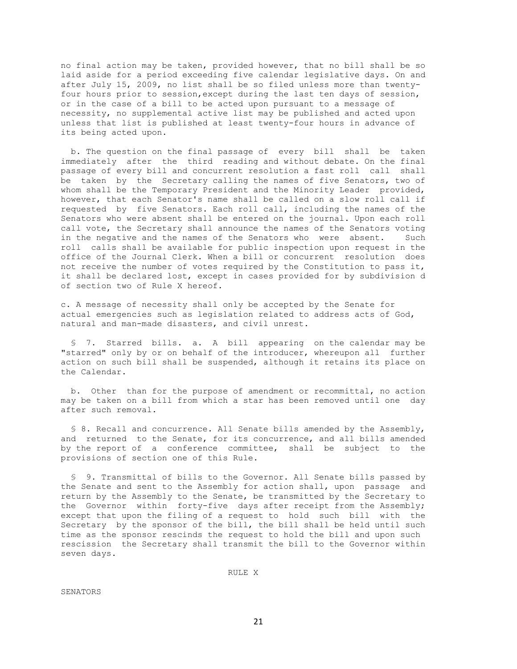no final action may be taken, provided however, that no bill shall be so laid aside for a period exceeding five calendar legislative days. On and after July 15, 2009, no list shall be so filed unless more than twentyfour hours prior to session,except during the last ten days of session, or in the case of a bill to be acted upon pursuant to a message of necessity, no supplemental active list may be published and acted upon unless that list is published at least twenty-four hours in advance of its being acted upon.

 b. The question on the final passage of every bill shall be taken immediately after the third reading and without debate. On the final passage of every bill and concurrent resolution a fast roll call shall be taken by the Secretary calling the names of five Senators, two of whom shall be the Temporary President and the Minority Leader provided, however, that each Senator's name shall be called on a slow roll call if requested by five Senators. Each roll call, including the names of the Senators who were absent shall be entered on the journal. Upon each roll call vote, the Secretary shall announce the names of the Senators voting in the negative and the names of the Senators who were absent. Such roll calls shall be available for public inspection upon request in the office of the Journal Clerk. When a bill or concurrent resolution does not receive the number of votes required by the Constitution to pass it, it shall be declared lost, except in cases provided for by subdivision d of section two of Rule X hereof.

c. A message of necessity shall only be accepted by the Senate for actual emergencies such as legislation related to address acts of God, natural and man-made disasters, and civil unrest.

 § 7. Starred bills. a. A bill appearing on the calendar may be "starred" only by or on behalf of the introducer, whereupon all further action on such bill shall be suspended, although it retains its place on the Calendar.

 b. Other than for the purpose of amendment or recommittal, no action may be taken on a bill from which a star has been removed until one day after such removal.

 § 8. Recall and concurrence. All Senate bills amended by the Assembly, and returned to the Senate, for its concurrence, and all bills amended by the report of a conference committee, shall be subject to the provisions of section one of this Rule.

 § 9. Transmittal of bills to the Governor. All Senate bills passed by the Senate and sent to the Assembly for action shall, upon passage and return by the Assembly to the Senate, be transmitted by the Secretary to the Governor within forty-five days after receipt from the Assembly; except that upon the filing of a request to hold such bill with the Secretary by the sponsor of the bill, the bill shall be held until such time as the sponsor rescinds the request to hold the bill and upon such rescission the Secretary shall transmit the bill to the Governor within seven days.

RULE X

SENATORS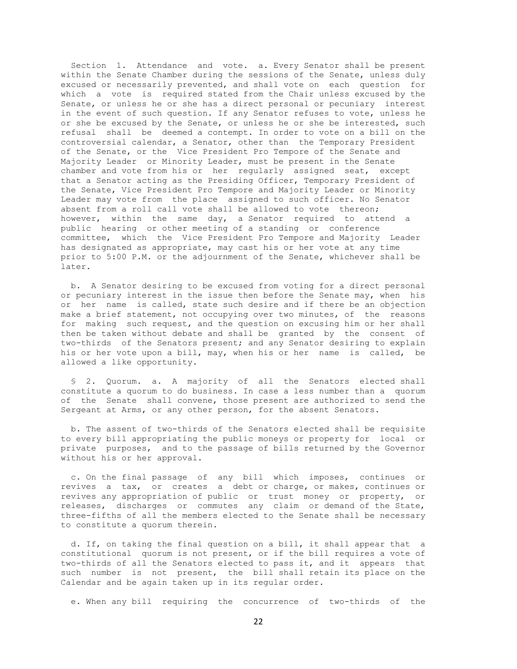Section 1. Attendance and vote. a. Every Senator shall be present within the Senate Chamber during the sessions of the Senate, unless duly excused or necessarily prevented, and shall vote on each question for which a vote is required stated from the Chair unless excused by the Senate, or unless he or she has a direct personal or pecuniary interest in the event of such question. If any Senator refuses to vote, unless he or she be excused by the Senate, or unless he or she be interested, such refusal shall be deemed a contempt. In order to vote on a bill on the controversial calendar, a Senator, other than the Temporary President of the Senate, or the Vice President Pro Tempore of the Senate and Majority Leader or Minority Leader, must be present in the Senate chamber and vote from his or her regularly assigned seat, except that a Senator acting as the Presiding Officer, Temporary President of the Senate, Vice President Pro Tempore and Majority Leader or Minority Leader may vote from the place assigned to such officer. No Senator absent from a roll call vote shall be allowed to vote thereon; however, within the same day, a Senator required to attend a public hearing or other meeting of a standing or conference committee, which the Vice President Pro Tempore and Majority Leader has designated as appropriate, may cast his or her vote at any time prior to 5:00 P.M. or the adjournment of the Senate, whichever shall be later.

 b. A Senator desiring to be excused from voting for a direct personal or pecuniary interest in the issue then before the Senate may, when his or her name is called, state such desire and if there be an objection make a brief statement, not occupying over two minutes, of the reasons for making such request, and the question on excusing him or her shall then be taken without debate and shall be granted by the consent of two-thirds of the Senators present; and any Senator desiring to explain his or her vote upon a bill, may, when his or her name is called, be allowed a like opportunity.

 § 2. Quorum. a. A majority of all the Senators elected shall constitute a quorum to do business. In case a less number than a quorum of the Senate shall convene, those present are authorized to send the Sergeant at Arms, or any other person, for the absent Senators.

 b. The assent of two-thirds of the Senators elected shall be requisite to every bill appropriating the public moneys or property for local or private purposes, and to the passage of bills returned by the Governor without his or her approval.

 c. On the final passage of any bill which imposes, continues or revives a tax, or creates a debt or charge, or makes, continues or revives any appropriation of public or trust money or property, or releases, discharges or commutes any claim or demand of the State, three-fifths of all the members elected to the Senate shall be necessary to constitute a quorum therein.

 d. If, on taking the final question on a bill, it shall appear that a constitutional quorum is not present, or if the bill requires a vote of two-thirds of all the Senators elected to pass it, and it appears that such number is not present, the bill shall retain its place on the Calendar and be again taken up in its regular order.

e. When any bill requiring the concurrence of two-thirds of the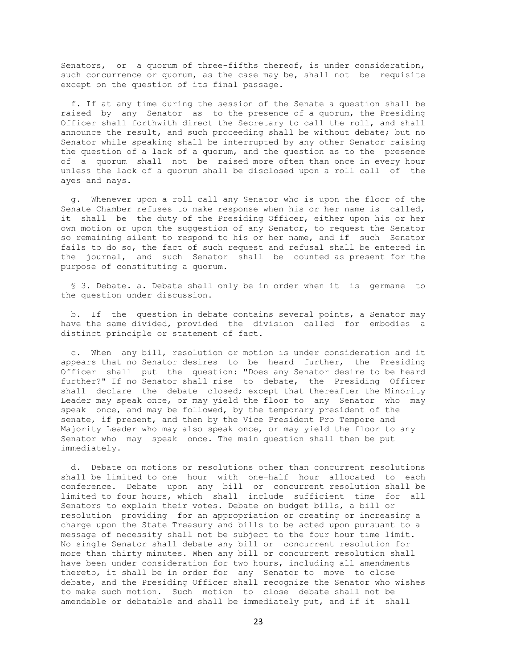Senators, or a quorum of three-fifths thereof, is under consideration, such concurrence or quorum, as the case may be, shall not be requisite except on the question of its final passage.

 f. If at any time during the session of the Senate a question shall be raised by any Senator as to the presence of a quorum, the Presiding Officer shall forthwith direct the Secretary to call the roll, and shall announce the result, and such proceeding shall be without debate; but no Senator while speaking shall be interrupted by any other Senator raising the question of a lack of a quorum, and the question as to the presence of a quorum shall not be raised more often than once in every hour unless the lack of a quorum shall be disclosed upon a roll call of the ayes and nays.

 g. Whenever upon a roll call any Senator who is upon the floor of the Senate Chamber refuses to make response when his or her name is called, it shall be the duty of the Presiding Officer, either upon his or her own motion or upon the suggestion of any Senator, to request the Senator so remaining silent to respond to his or her name, and if such Senator fails to do so, the fact of such request and refusal shall be entered in the journal, and such Senator shall be counted as present for the purpose of constituting a quorum.

 § 3. Debate. a. Debate shall only be in order when it is germane to the question under discussion.

 b. If the question in debate contains several points, a Senator may have the same divided, provided the division called for embodies a distinct principle or statement of fact.

 c. When any bill, resolution or motion is under consideration and it appears that no Senator desires to be heard further, the Presiding Officer shall put the question: "Does any Senator desire to be heard further?" If no Senator shall rise to debate, the Presiding Officer shall declare the debate closed; except that thereafter the Minority Leader may speak once, or may yield the floor to any Senator who may speak once, and may be followed, by the temporary president of the senate, if present, and then by the Vice President Pro Tempore and Majority Leader who may also speak once, or may yield the floor to any Senator who may speak once. The main question shall then be put immediately.

 d. Debate on motions or resolutions other than concurrent resolutions shall be limited to one hour with one-half hour allocated to each conference. Debate upon any bill or concurrent resolution shall be limited to four hours, which shall include sufficient time for all Senators to explain their votes. Debate on budget bills, a bill or resolution providing for an appropriation or creating or increasing a charge upon the State Treasury and bills to be acted upon pursuant to a message of necessity shall not be subject to the four hour time limit. No single Senator shall debate any bill or concurrent resolution for more than thirty minutes. When any bill or concurrent resolution shall have been under consideration for two hours, including all amendments thereto, it shall be in order for any Senator to move to close debate, and the Presiding Officer shall recognize the Senator who wishes to make such motion. Such motion to close debate shall not be amendable or debatable and shall be immediately put, and if it shall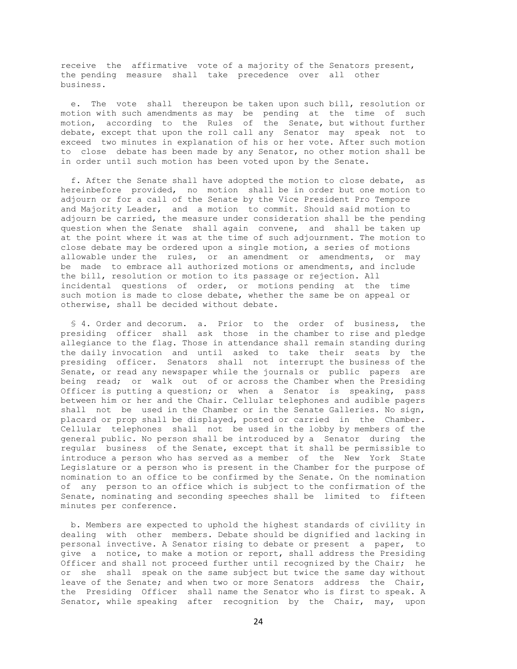receive the affirmative vote of a majority of the Senators present, the pending measure shall take precedence over all other business.

 e. The vote shall thereupon be taken upon such bill, resolution or motion with such amendments as may be pending at the time of such motion, according to the Rules of the Senate, but without further debate, except that upon the roll call any Senator may speak not to exceed two minutes in explanation of his or her vote. After such motion to close debate has been made by any Senator, no other motion shall be in order until such motion has been voted upon by the Senate.

 f. After the Senate shall have adopted the motion to close debate, as hereinbefore provided, no motion shall be in order but one motion to adjourn or for a call of the Senate by the Vice President Pro Tempore and Majority Leader, and a motion to commit. Should said motion to adjourn be carried, the measure under consideration shall be the pending question when the Senate shall again convene, and shall be taken up at the point where it was at the time of such adjournment. The motion to close debate may be ordered upon a single motion, a series of motions allowable under the rules, or an amendment or amendments, or may be made to embrace all authorized motions or amendments, and include the bill, resolution or motion to its passage or rejection. All incidental questions of order, or motions pending at the time such motion is made to close debate, whether the same be on appeal or otherwise, shall be decided without debate.

 § 4. Order and decorum. a. Prior to the order of business, the presiding officer shall ask those in the chamber to rise and pledge allegiance to the flag. Those in attendance shall remain standing during the daily invocation and until asked to take their seats by the presiding officer. Senators shall not interrupt the business of the Senate, or read any newspaper while the journals or public papers are being read; or walk out of or across the Chamber when the Presiding Officer is putting a question; or when a Senator is speaking, pass between him or her and the Chair. Cellular telephones and audible pagers shall not be used in the Chamber or in the Senate Galleries. No sign, placard or prop shall be displayed, posted or carried in the Chamber. Cellular telephones shall not be used in the lobby by members of the general public. No person shall be introduced by a Senator during the regular business of the Senate, except that it shall be permissible to introduce a person who has served as a member of the New York State Legislature or a person who is present in the Chamber for the purpose of nomination to an office to be confirmed by the Senate. On the nomination of any person to an office which is subject to the confirmation of the Senate, nominating and seconding speeches shall be limited to fifteen minutes per conference.

 b. Members are expected to uphold the highest standards of civility in dealing with other members. Debate should be dignified and lacking in personal invective. A Senator rising to debate or present a paper, to give a notice, to make a motion or report, shall address the Presiding Officer and shall not proceed further until recognized by the Chair; he or she shall speak on the same subject but twice the same day without leave of the Senate; and when two or more Senators address the Chair, the Presiding Officer shall name the Senator who is first to speak. A Senator, while speaking after recognition by the Chair, may, upon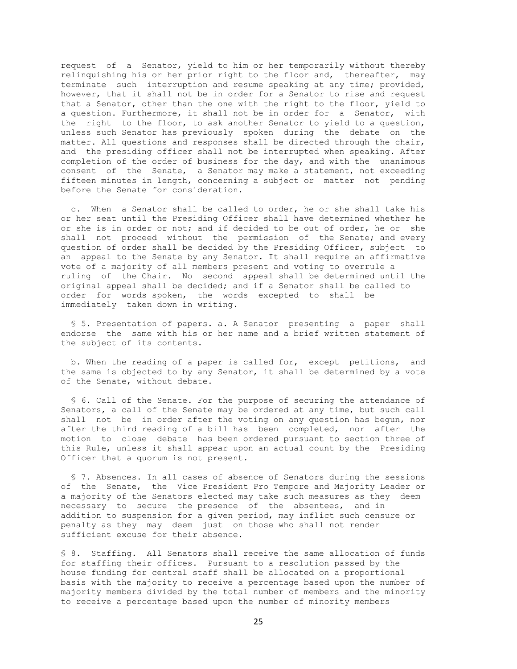request of a Senator, yield to him or her temporarily without thereby relinquishing his or her prior right to the floor and, thereafter, may terminate such interruption and resume speaking at any time; provided, however, that it shall not be in order for a Senator to rise and request that a Senator, other than the one with the right to the floor, yield to a question. Furthermore, it shall not be in order for a Senator, with the right to the floor, to ask another Senator to yield to a question, unless such Senator has previously spoken during the debate on the matter. All questions and responses shall be directed through the chair, and the presiding officer shall not be interrupted when speaking. After completion of the order of business for the day, and with the unanimous consent of the Senate, a Senator may make a statement, not exceeding fifteen minutes in length, concerning a subject or matter not pending before the Senate for consideration.

 c. When a Senator shall be called to order, he or she shall take his or her seat until the Presiding Officer shall have determined whether he or she is in order or not; and if decided to be out of order, he or she shall not proceed without the permission of the Senate; and every question of order shall be decided by the Presiding Officer, subject to an appeal to the Senate by any Senator. It shall require an affirmative vote of a majority of all members present and voting to overrule a ruling of the Chair. No second appeal shall be determined until the original appeal shall be decided; and if a Senator shall be called to order for words spoken, the words excepted to shall be immediately taken down in writing.

 § 5. Presentation of papers. a. A Senator presenting a paper shall endorse the same with his or her name and a brief written statement of the subject of its contents.

 b. When the reading of a paper is called for, except petitions, and the same is objected to by any Senator, it shall be determined by a vote of the Senate, without debate.

 § 6. Call of the Senate. For the purpose of securing the attendance of Senators, a call of the Senate may be ordered at any time, but such call shall not be in order after the voting on any question has begun, nor after the third reading of a bill has been completed, nor after the motion to close debate has been ordered pursuant to section three of this Rule, unless it shall appear upon an actual count by the Presiding Officer that a quorum is not present.

 § 7. Absences. In all cases of absence of Senators during the sessions of the Senate, the Vice President Pro Tempore and Majority Leader or a majority of the Senators elected may take such measures as they deem necessary to secure the presence of the absentees, and in addition to suspension for a given period, may inflict such censure or penalty as they may deem just on those who shall not render sufficient excuse for their absence.

§ 8. Staffing. All Senators shall receive the same allocation of funds for staffing their offices. Pursuant to a resolution passed by the house funding for central staff shall be allocated on a proportional basis with the majority to receive a percentage based upon the number of majority members divided by the total number of members and the minority to receive a percentage based upon the number of minority members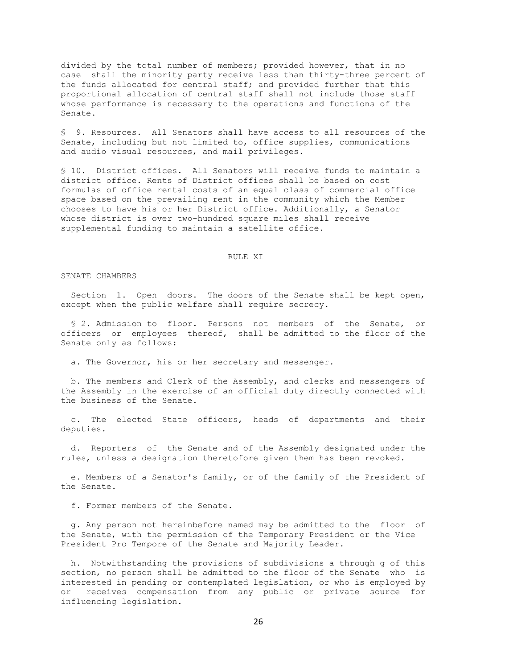divided by the total number of members; provided however, that in no case shall the minority party receive less than thirty-three percent of the funds allocated for central staff; and provided further that this proportional allocation of central staff shall not include those staff whose performance is necessary to the operations and functions of the Senate.

§ 9. Resources. All Senators shall have access to all resources of the Senate, including but not limited to, office supplies, communications and audio visual resources, and mail privileges.

§ 10. District offices. All Senators will receive funds to maintain a district office. Rents of District offices shall be based on cost formulas of office rental costs of an equal class of commercial office space based on the prevailing rent in the community which the Member chooses to have his or her District office. Additionally, a Senator whose district is over two-hundred square miles shall receive supplemental funding to maintain a satellite office.

# RULE XI

#### SENATE CHAMBERS

 Section 1. Open doors. The doors of the Senate shall be kept open, except when the public welfare shall require secrecy.

 § 2. Admission to floor. Persons not members of the Senate, or officers or employees thereof, shall be admitted to the floor of the Senate only as follows:

a. The Governor, his or her secretary and messenger.

 b. The members and Clerk of the Assembly, and clerks and messengers of the Assembly in the exercise of an official duty directly connected with the business of the Senate.

 c. The elected State officers, heads of departments and their deputies.

 d. Reporters of the Senate and of the Assembly designated under the rules, unless a designation theretofore given them has been revoked.

 e. Members of a Senator's family, or of the family of the President of the Senate.

f. Former members of the Senate.

 g. Any person not hereinbefore named may be admitted to the floor of the Senate, with the permission of the Temporary President or the Vice President Pro Tempore of the Senate and Majority Leader.

 h. Notwithstanding the provisions of subdivisions a through g of this section, no person shall be admitted to the floor of the Senate who is interested in pending or contemplated legislation, or who is employed by or receives compensation from any public or private source for influencing legislation.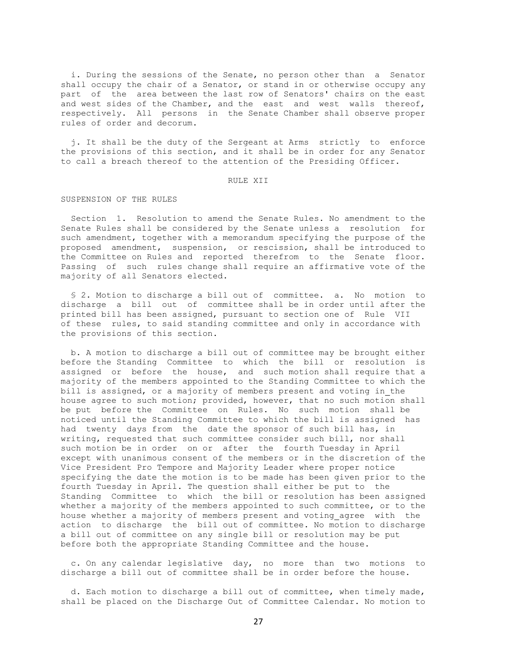i. During the sessions of the Senate, no person other than a Senator shall occupy the chair of a Senator, or stand in or otherwise occupy any part of the area between the last row of Senators' chairs on the east and west sides of the Chamber, and the east and west walls thereof, respectively. All persons in the Senate Chamber shall observe proper rules of order and decorum.

 j. It shall be the duty of the Sergeant at Arms strictly to enforce the provisions of this section, and it shall be in order for any Senator to call a breach thereof to the attention of the Presiding Officer.

### RULE XII

## SUSPENSION OF THE RULES

 Section 1. Resolution to amend the Senate Rules. No amendment to the Senate Rules shall be considered by the Senate unless a resolution for such amendment, together with a memorandum specifying the purpose of the proposed amendment, suspension, or rescission, shall be introduced to the Committee on Rules and reported therefrom to the Senate floor. Passing of such rules change shall require an affirmative vote of the majority of all Senators elected.

 § 2. Motion to discharge a bill out of committee. a. No motion to discharge a bill out of committee shall be in order until after the printed bill has been assigned, pursuant to section one of Rule VII of these rules, to said standing committee and only in accordance with the provisions of this section.

 b. A motion to discharge a bill out of committee may be brought either before the Standing Committee to which the bill or resolution is assigned or before the house, and such motion shall require that a majority of the members appointed to the Standing Committee to which the bill is assigned, or a majority of members present and voting in the house agree to such motion; provided, however, that no such motion shall be put before the Committee on Rules. No such motion shall be noticed until the Standing Committee to which the bill is assigned has had twenty days from the date the sponsor of such bill has, in writing, requested that such committee consider such bill, nor shall such motion be in order on or after the fourth Tuesday in April except with unanimous consent of the members or in the discretion of the Vice President Pro Tempore and Majority Leader where proper notice specifying the date the motion is to be made has been given prior to the fourth Tuesday in April. The question shall either be put to the Standing Committee to which the bill or resolution has been assigned whether a majority of the members appointed to such committee, or to the house whether a majority of members present and voting agree with the action to discharge the bill out of committee. No motion to discharge a bill out of committee on any single bill or resolution may be put before both the appropriate Standing Committee and the house.

 c. On any calendar legislative day, no more than two motions to discharge a bill out of committee shall be in order before the house.

 d. Each motion to discharge a bill out of committee, when timely made, shall be placed on the Discharge Out of Committee Calendar. No motion to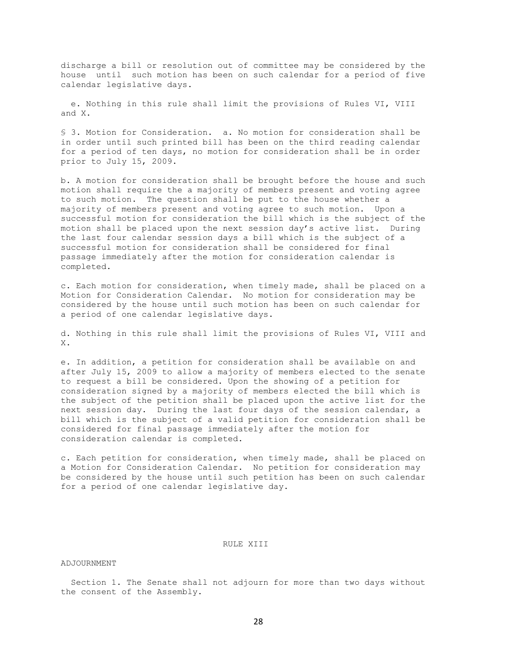discharge a bill or resolution out of committee may be considered by the house until such motion has been on such calendar for a period of five calendar legislative days.

 e. Nothing in this rule shall limit the provisions of Rules VI, VIII and X.

§ 3. Motion for Consideration. a. No motion for consideration shall be in order until such printed bill has been on the third reading calendar for a period of ten days, no motion for consideration shall be in order prior to July 15, 2009.

b. A motion for consideration shall be brought before the house and such motion shall require the a majority of members present and voting agree to such motion. The question shall be put to the house whether a majority of members present and voting agree to such motion. Upon a successful motion for consideration the bill which is the subject of the motion shall be placed upon the next session day's active list. During the last four calendar session days a bill which is the subject of a successful motion for consideration shall be considered for final passage immediately after the motion for consideration calendar is completed.

c. Each motion for consideration, when timely made, shall be placed on a Motion for Consideration Calendar. No motion for consideration may be considered by the house until such motion has been on such calendar for a period of one calendar legislative days.

d. Nothing in this rule shall limit the provisions of Rules VI, VIII and X.

e. In addition, a petition for consideration shall be available on and after July 15, 2009 to allow a majority of members elected to the senate to request a bill be considered. Upon the showing of a petition for consideration signed by a majority of members elected the bill which is the subject of the petition shall be placed upon the active list for the next session day. During the last four days of the session calendar, a bill which is the subject of a valid petition for consideration shall be considered for final passage immediately after the motion for consideration calendar is completed.

c. Each petition for consideration, when timely made, shall be placed on a Motion for Consideration Calendar. No petition for consideration may be considered by the house until such petition has been on such calendar for a period of one calendar legislative day.

### RULE XIII

## ADJOURNMENT

 Section 1. The Senate shall not adjourn for more than two days without the consent of the Assembly.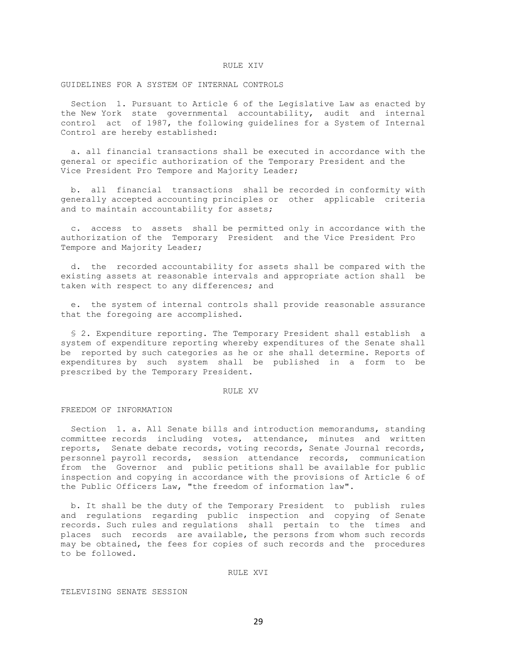#### RULE XIV

GUIDELINES FOR A SYSTEM OF INTERNAL CONTROLS

 Section 1. Pursuant to Article 6 of the Legislative Law as enacted by the New York state governmental accountability, audit and internal control act of 1987, the following guidelines for a System of Internal Control are hereby established:

 a. all financial transactions shall be executed in accordance with the general or specific authorization of the Temporary President and the Vice President Pro Tempore and Majority Leader;

 b. all financial transactions shall be recorded in conformity with generally accepted accounting principles or other applicable criteria and to maintain accountability for assets;

 c. access to assets shall be permitted only in accordance with the authorization of the Temporary President and the Vice President Pro Tempore and Majority Leader;

 d. the recorded accountability for assets shall be compared with the existing assets at reasonable intervals and appropriate action shall be taken with respect to any differences; and

 e. the system of internal controls shall provide reasonable assurance that the foregoing are accomplished.

 § 2. Expenditure reporting. The Temporary President shall establish a system of expenditure reporting whereby expenditures of the Senate shall be reported by such categories as he or she shall determine. Reports of expenditures by such system shall be published in a form to be prescribed by the Temporary President.

# RULE XV

### FREEDOM OF INFORMATION

 Section 1. a. All Senate bills and introduction memorandums, standing committee records including votes, attendance, minutes and written reports, Senate debate records, voting records, Senate Journal records, personnel payroll records, session attendance records, communication from the Governor and public petitions shall be available for public inspection and copying in accordance with the provisions of Article 6 of the Public Officers Law, "the freedom of information law".

 b. It shall be the duty of the Temporary President to publish rules and regulations regarding public inspection and copying of Senate records. Such rules and regulations shall pertain to the times and places such records are available, the persons from whom such records may be obtained, the fees for copies of such records and the procedures to be followed.

#### RULE XVI

TELEVISING SENATE SESSION